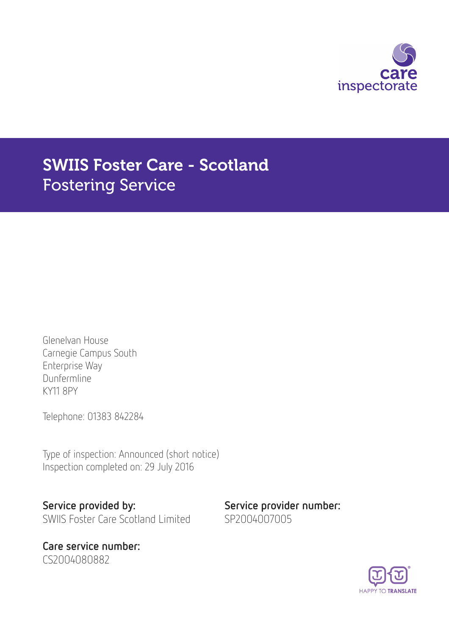

# SWIIS Foster Care - Scotland Fostering Service

Glenelvan House Carnegie Campus South Enterprise Way Dunfermline KY11 8PY

Telephone: 01383 842284

Type of inspection: Announced (short notice) Inspection completed on: 29 July 2016

Service provided by: Service provider number: SWIIS Foster Care Scotland Limited SP2004007005

Care service number: CS2004080882

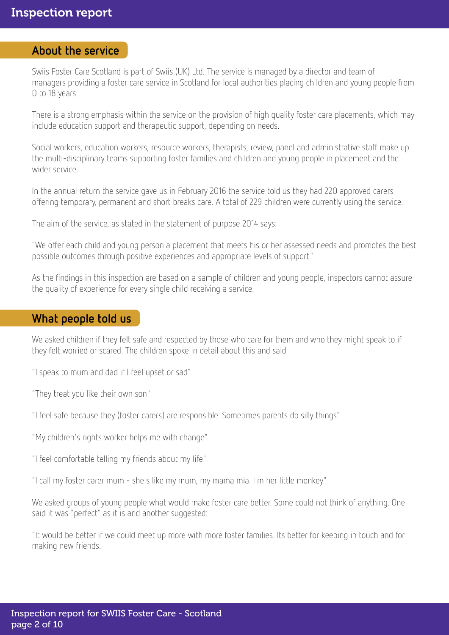### About the service

Swiis Foster Care Scotland is part of Swiis (UK) Ltd. The service is managed by a director and team of managers providing a foster care service in Scotland for local authorities placing children and young people from 0 to 18 years.

There is a strong emphasis within the service on the provision of high quality foster care placements, which may include education support and therapeutic support, depending on needs.

Social workers, education workers, resource workers, therapists, review, panel and administrative staff make up the multi-disciplinary teams supporting foster families and children and young people in placement and the wider service.

In the annual return the service gave us in February 2016 the service told us they had 220 approved carers offering temporary, permanent and short breaks care. A total of 229 children were currently using the service.

The aim of the service, as stated in the statement of purpose 2014 says:

"We offer each child and young person a placement that meets his or her assessed needs and promotes the best possible outcomes through positive experiences and appropriate levels of support."

As the findings in this inspection are based on a sample of children and young people, inspectors cannot assure the quality of experience for every single child receiving a service.

### What people told us

We asked children if they felt safe and respected by those who care for them and who they might speak to if they felt worried or scared. The children spoke in detail about this and said

"I speak to mum and dad if I feel upset or sad"

"They treat you like their own son"

"I feel safe because they (foster carers) are responsible. Sometimes parents do silly things"

"My children's rights worker helps me with change"

"I feel comfortable telling my friends about my life"

"I call my foster carer mum - she's like my mum, my mama mia. I'm her little monkey"

We asked groups of young people what would make foster care better. Some could not think of anything. One said it was "perfect" as it is and another suggested:

"It would be better if we could meet up more with more foster families. Its better for keeping in touch and for making new friends.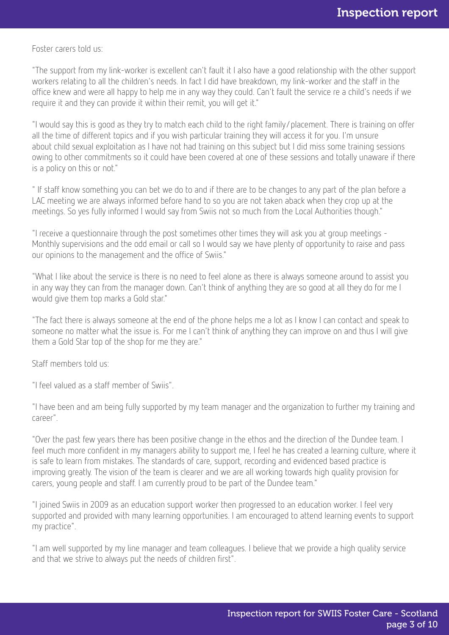Foster carers told us:

"The support from my link-worker is excellent can't fault it I also have a good relationship with the other support workers relating to all the children's needs. In fact I did have breakdown, my link-worker and the staff in the office knew and were all happy to help me in any way they could. Can't fault the service re a child's needs if we require it and they can provide it within their remit, you will get it."

"I would say this is good as they try to match each child to the right family/placement. There is training on offer all the time of different topics and if you wish particular training they will access it for you. I'm unsure about child sexual exploitation as I have not had training on this subject but I did miss some training sessions owing to other commitments so it could have been covered at one of these sessions and totally unaware if there is a policy on this or not."

" If staff know something you can bet we do to and if there are to be changes to any part of the plan before a LAC meeting we are always informed before hand to so you are not taken aback when they crop up at the meetings. So yes fully informed I would say from Swiis not so much from the Local Authorities though."

"I receive a questionnaire through the post sometimes other times they will ask you at group meetings - Monthly supervisions and the odd email or call so I would say we have plenty of opportunity to raise and pass our opinions to the management and the office of Swiis."

"What I like about the service is there is no need to feel alone as there is always someone around to assist you in any way they can from the manager down. Can't think of anything they are so good at all they do for me I would give them top marks a Gold star."

"The fact there is always someone at the end of the phone helps me a lot as I know I can contact and speak to someone no matter what the issue is. For me I can't think of anything they can improve on and thus I will give them a Gold Star top of the shop for me they are."

Staff members told us:

"I feel valued as a staff member of Swiis".

"I have been and am being fully supported by my team manager and the organization to further my training and career".

"Over the past few years there has been positive change in the ethos and the direction of the Dundee team. I feel much more confident in my managers ability to support me, I feel he has created a learning culture, where it is safe to learn from mistakes. The standards of care, support, recording and evidenced based practice is improving greatly. The vision of the team is clearer and we are all working towards high quality provision for carers, young people and staff. I am currently proud to be part of the Dundee team."

"I joined Swiis in 2009 as an education support worker then progressed to an education worker. I feel very supported and provided with many learning opportunities. I am encouraged to attend learning events to support my practice".

"I am well supported by my line manager and team colleagues. I believe that we provide a high quality service and that we strive to always put the needs of children first".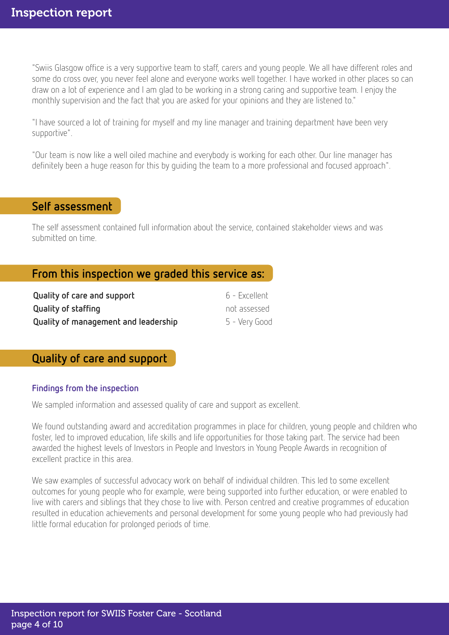"Swiis Glasgow office is a very supportive team to staff, carers and young people. We all have different roles and some do cross over, you never feel alone and everyone works well together. I have worked in other places so can draw on a lot of experience and I am glad to be working in a strong caring and supportive team. I enjoy the monthly supervision and the fact that you are asked for your opinions and they are listened to."

"I have sourced a lot of training for myself and my line manager and training department have been very supportive".

"Our team is now like a well oiled machine and everybody is working for each other. Our line manager has definitely been a huge reason for this by guiding the team to a more professional and focused approach".

### Self assessment

The self assessment contained full information about the service, contained stakeholder views and was submitted on time.

# From this inspection we graded this service as:

| Quality of care and support          | 6 - Excellent |
|--------------------------------------|---------------|
| Quality of staffing                  | not assessed  |
| Quality of management and leadership | 5 - Very Good |

### Quality of care and support

#### Findings from the inspection

We sampled information and assessed quality of care and support as excellent.

We found outstanding award and accreditation programmes in place for children, young people and children who foster, led to improved education, life skills and life opportunities for those taking part. The service had been awarded the highest levels of Investors in People and Investors in Young People Awards in recognition of excellent practice in this area.

We saw examples of successful advocacy work on behalf of individual children. This led to some excellent outcomes for young people who for example, were being supported into further education, or were enabled to live with carers and siblings that they chose to live with. Person centred and creative programmes of education resulted in education achievements and personal development for some young people who had previously had little formal education for prolonged periods of time.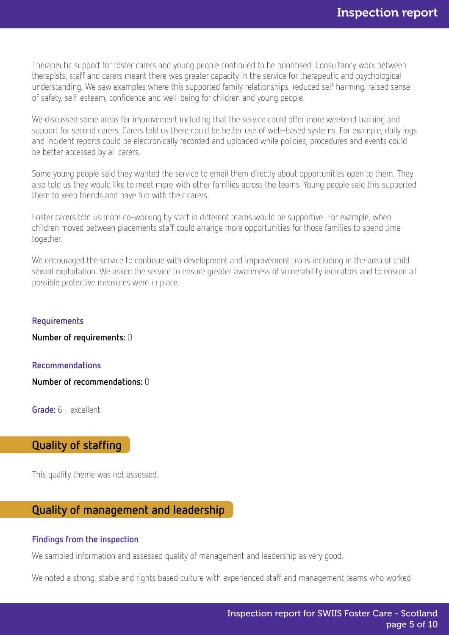Therapeutic support for foster carers and young people continued to be prioritised. Consultancy work between therapists, staff and carers meant there was greater capacity in the service for therapeutic and psychological understanding. We saw examples where this supported family relationships, reduced self harming, raised sense of safety, self-esteem, confidence and well-being for children and young people.

We discussed some areas for improvement including that the service could offer more weekend training and support for second carers. Carers told us there could be better use of web-based systems. For example, daily logs and incident reports could be electronically recorded and uploaded while policies, procedures and events could be better accessed by all carers.

Some young people said they wanted the service to email them directly about opportunities open to them. They also told us they would like to meet more with other families across the teams. Young people said this supported them to keep friends and have fun with their carers.

Foster carers told us more co-working by staff in different teams would be supportive. For example, when children moved between placements staff could arrange more opportunities for those families to spend time together.

We encouraged the service to continue with development and improvement plans including in the area of child sexual exploitation. We asked the service to ensure greater awareness of vulnerability indicators and to ensure all possible protective measures were in place.

#### Requirements

Number of requirements: 0

#### Recommendations

Number of recommendations: 0

Grade: 6 - excellent

# Quality of staffing

This quality theme was not assessed.

# Quality of management and leadership

#### Findings from the inspection

We sampled information and assessed quality of management and leadership as very good.

We noted a strong, stable and rights based culture with experienced staff and management teams who worked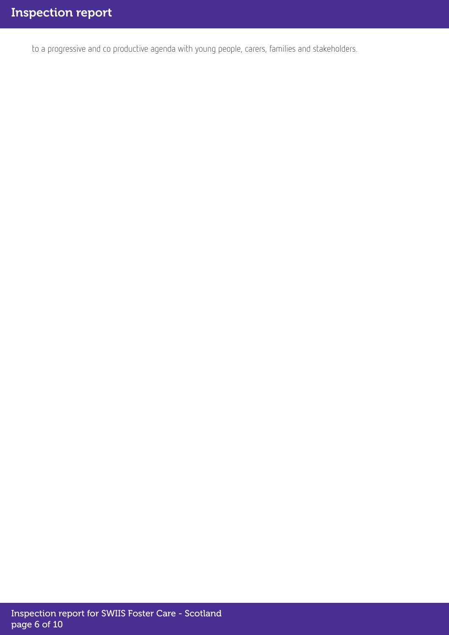to a progressive and co productive agenda with young people, carers, families and stakeholders.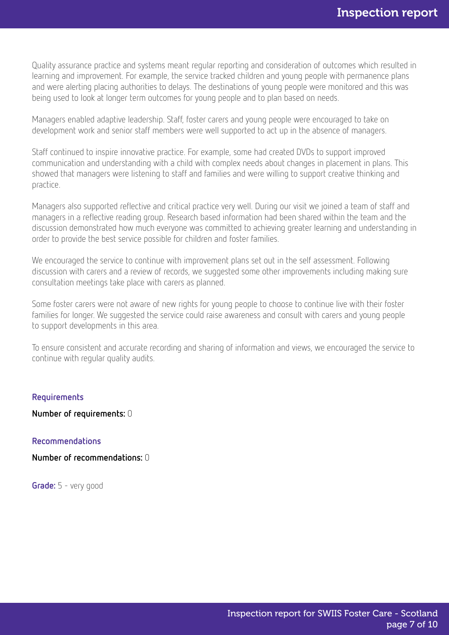Quality assurance practice and systems meant regular reporting and consideration of outcomes which resulted in learning and improvement. For example, the service tracked children and young people with permanence plans and were alerting placing authorities to delays. The destinations of young people were monitored and this was being used to look at longer term outcomes for young people and to plan based on needs.

Managers enabled adaptive leadership. Staff, foster carers and young people were encouraged to take on development work and senior staff members were well supported to act up in the absence of managers.

Staff continued to inspire innovative practice. For example, some had created DVDs to support improved communication and understanding with a child with complex needs about changes in placement in plans. This showed that managers were listening to staff and families and were willing to support creative thinking and practice.

Managers also supported reflective and critical practice very well. During our visit we joined a team of staff and managers in a reflective reading group. Research based information had been shared within the team and the discussion demonstrated how much everyone was committed to achieving greater learning and understanding in order to provide the best service possible for children and foster families.

We encouraged the service to continue with improvement plans set out in the self assessment. Following discussion with carers and a review of records, we suggested some other improvements including making sure consultation meetings take place with carers as planned.

Some foster carers were not aware of new rights for young people to choose to continue live with their foster families for longer. We suggested the service could raise awareness and consult with carers and young people to support developments in this area.

To ensure consistent and accurate recording and sharing of information and views, we encouraged the service to continue with regular quality audits.

#### Requirements

Number of requirements: 0

Recommendations

Number of recommendations: 0

Grade: 5 - very good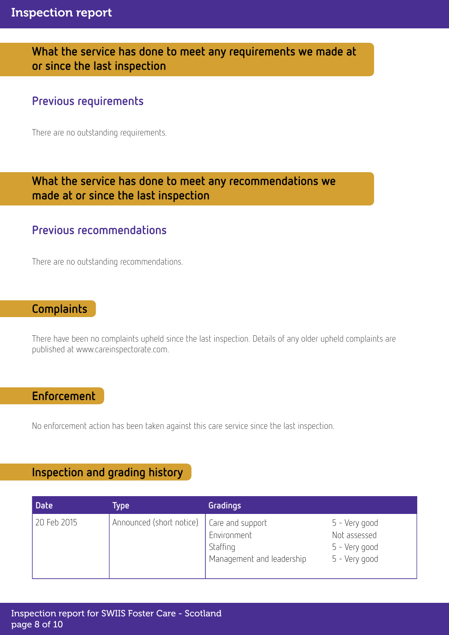# What the service has done to meet any requirements we made at or since the last inspection

# Previous requirements

There are no outstanding requirements.

# What the service has done to meet any recommendations we made at or since the last inspection

# Previous recommendations

There are no outstanding recommendations.

# **Complaints**

There have been no complaints upheld since the last inspection. Details of any older upheld complaints are published at www.careinspectorate.com.

# Enforcement

No enforcement action has been taken against this care service since the last inspection.

# Inspection and grading history

| <b>Date</b> | Type                     | Gradings                                                                 |                                                                 |
|-------------|--------------------------|--------------------------------------------------------------------------|-----------------------------------------------------------------|
| 20 Feb 2015 | Announced (short notice) | Care and support<br>Environment<br>Staffing<br>Management and leadership | 5 - Very good<br>Not assessed<br>5 - Very good<br>5 - Very good |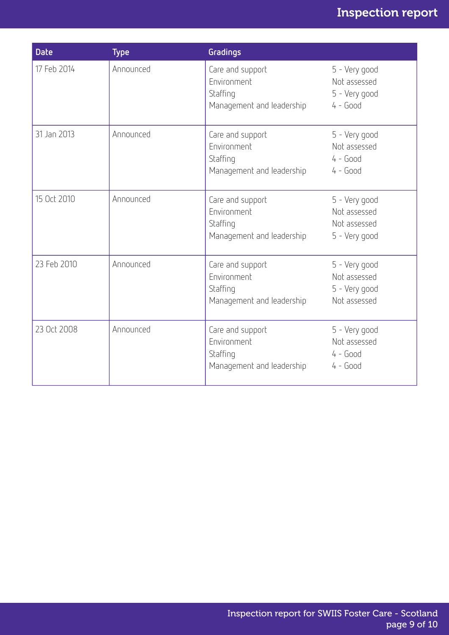# Inspection report

| <b>Date</b> | <b>Type</b> | Gradings                                                                 |                                                                |
|-------------|-------------|--------------------------------------------------------------------------|----------------------------------------------------------------|
| 17 Feb 2014 | Announced   | Care and support<br>Environment<br>Staffing<br>Management and leadership | 5 - Very good<br>Not assessed<br>5 - Very good<br>$4 - Good$   |
| 31 Jan 2013 | Announced   | Care and support<br>Environment<br>Staffing<br>Management and leadership | 5 - Very good<br>Not assessed<br>$4 - Good$<br>$4 - Good$      |
| 15 Oct 2010 | Announced   | Care and support<br>Environment<br>Staffing<br>Management and leadership | 5 - Very good<br>Not assessed<br>Not assessed<br>5 - Very good |
| 23 Feb 2010 | Announced   | Care and support<br>Environment<br>Staffing<br>Management and leadership | 5 - Very good<br>Not assessed<br>5 - Very good<br>Not assessed |
| 23 Oct 2008 | Announced   | Care and support<br>Environment<br>Staffing<br>Management and leadership | 5 - Very good<br>Not assessed<br>$4 - Good$<br>$4 - Good$      |